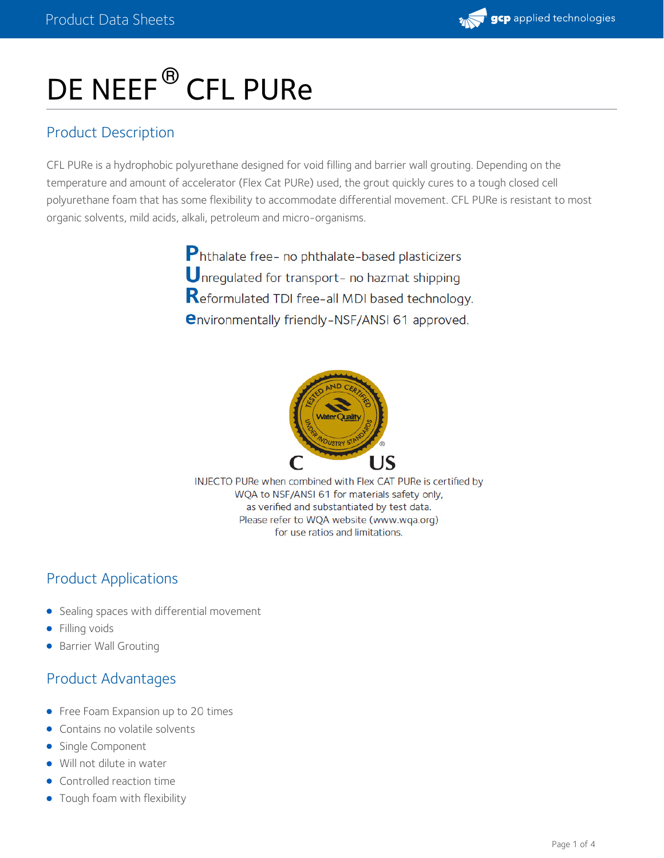

# DE NEEF<sup>®</sup> CFL PURe

# Product Description

CFL PURe is a hydrophobic polyurethane designed for void filling and barrier wall grouting. Depending on the temperature and amount of accelerator (Flex Cat PURe) used, the grout quickly cures to a tough closed cell polyurethane foam that has some flexibility to accommodate differential movement. CFL PURe is resistant to most organic solvents, mild acids, alkali, petroleum and micro-organisms.

> Phthalate free- no phthalate-based plasticizers Unregulated for transport- no hazmat shipping Reformulated TDI free-all MDI based technology. **environmentally friendly-NSF/ANSI 61 approved.**



INJECTO PURe when combined with Flex CAT PURe is certified by WQA to NSF/ANSI 61 for materials safety only, as verified and substantiated by test data. Please refer to WQA website (www.wqa.org) for use ratios and limitations.

# Product Applications

- **•** Sealing spaces with differential movement
- **•** Filling voids
- **Barrier Wall Grouting**

# Product Advantages

- Free Foam Expansion up to 20 times
- Contains no volatile solvents
- Single Component
- Will not dilute in water
- Controlled reaction time
- Tough foam with flexibility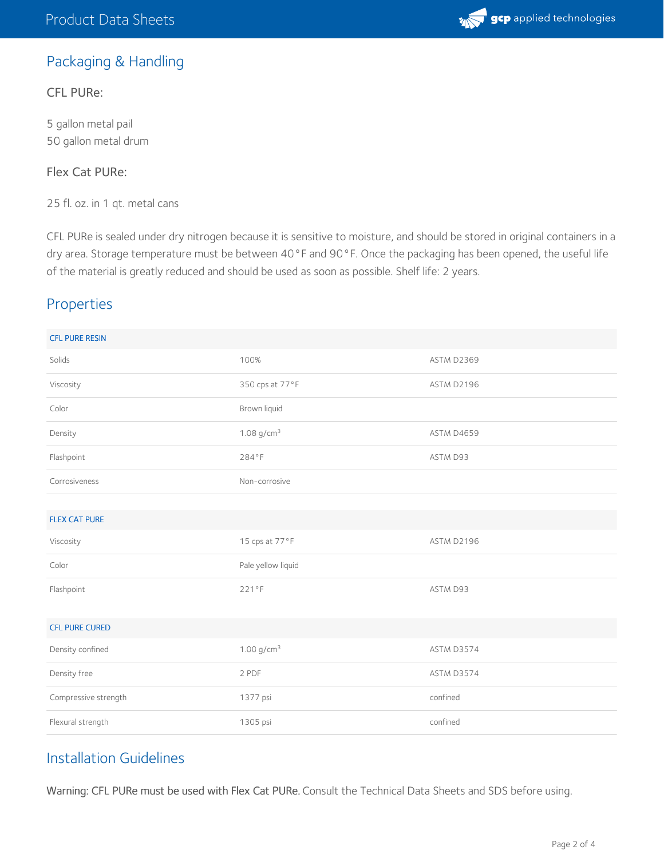

# Packaging & Handling

#### CFL PURe:

5 gallon metal pail 50 gallon metal drum

#### Flex Cat PURe:

25 fl. oz. in 1 qt. metal cans

CFL PURe is sealed under dry nitrogen because it is sensitive to moisture, and should be stored in original containers in a dry area. Storage temperature must be between 40°F and 90°F. Once the packaging has been opened, the useful life of the material is greatly reduced and should be used as soon as possible. Shelf life: 2 years.

#### Properties

| <b>CFL PURE RESIN</b> |                          |            |
|-----------------------|--------------------------|------------|
| Solids                | 100%                     | ASTM D2369 |
| Viscosity             | 350 cps at 77°F          | ASTM D2196 |
| Color                 | Brown liquid             |            |
| Density               | $1.08$ g/cm <sup>3</sup> | ASTM D4659 |
| Flashpoint            | 284°F                    | ASTM D93   |
| Corrosiveness         | Non-corrosive            |            |
|                       |                          |            |
| <b>FLEX CAT PURE</b>  |                          |            |
|                       |                          |            |
| Viscosity             | 15 cps at 77°F           | ASTM D2196 |
| Color                 | Pale yellow liquid       |            |
| Flashpoint            | 221°F                    | ASTM D93   |
|                       |                          |            |
| <b>CFL PURE CURED</b> |                          |            |
| Density confined      | $1.00$ g/cm <sup>3</sup> | ASTM D3574 |
| Density free          | 2 PDF                    | ASTM D3574 |
| Compressive strength  | 1377 psi                 | confined   |

# Installation Guidelines

Warning: CFL PURe must be used with Flex Cat PURe. Consult the Technical Data Sheets and SDS before using.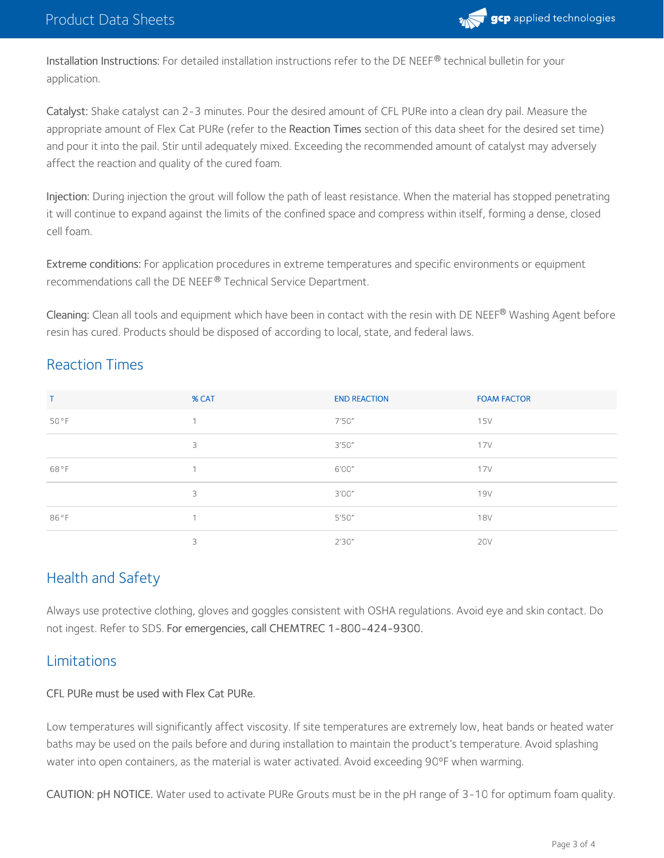

Installation Instructions: For detailed installation instructions refer to the DE NEEF $^\circledR$  technical bulletin for your application.

Catalyst: Shake catalyst can 2-3 minutes. Pour the desired amount of CFL PURe into a clean dry pail. Measure the appropriate amount of Flex Cat PURe (refer to the Reaction Times section of this data sheet for the desired set time) and pour it into the pail. Stir until adequately mixed. Exceeding the recommended amount of catalyst may adversely affect the reaction and quality of the cured foam.

Injection: During injection the grout will follow the path of least resistance. When the material has stopped penetrating it will continue to expand against the limits of the confined space and compress within itself, forming a dense, closed cell foam.

Extreme conditions: For application procedures in extreme temperatures and specific environments or equipment recommendations call the DE NEEF® Technical Service Department.

**Cleaning:** Clean all tools and equipment which have been in contact with the resin with DE NEEF® Washing Agent before resin has cured. Products should be disposed of according to local, state, and federal laws.

# Reaction Times

| Т    | % CAT          | <b>END REACTION</b> | <b>FOAM FACTOR</b> |
|------|----------------|---------------------|--------------------|
| 50°F |                | 7'50''              | 15V                |
|      | 3              | 3'50''              | 17V                |
| 68°F | $\overline{ }$ | 6'00"               | 17V                |
|      | 3              | 3'00''              | <b>19V</b>         |
| 86°F | $\overline{ }$ | 5'50''              | <b>18V</b>         |
|      | 3              | 2'30''              | <b>20V</b>         |

# Health and Safety

Always use protective clothing, gloves and goggles consistent with OSHA regulations. Avoid eye and skin contact. Do not ingest. Refer to SDS. For emergencies, call CHEMTREC 1-800-424-9300.

# Limitations

#### CFL PURe must be used with Flex Cat PURe.

Low temperatures will significantly affect viscosity. If site temperatures are extremely low, heat bands or heated water baths may be used on the pails before and during installation to maintain the product's temperature. Avoid splashing water into open containers, as the material is water activated. Avoid exceeding 90°F when warming.

CAUTION: pH NOTICE. Water used to activate PURe Grouts must be in the pH range of 3-10 for optimum foam quality.